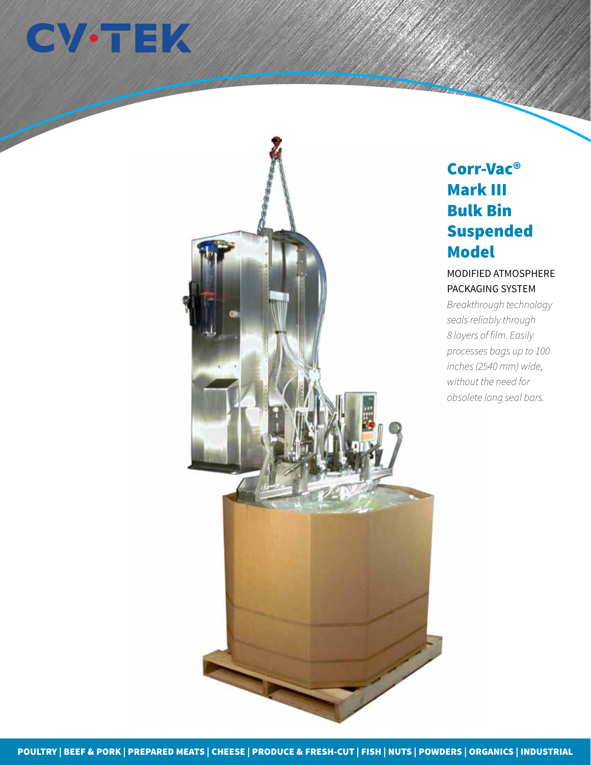



# Corr-Vac® Mark III Bulk Bin Suspended **Model**

## MODIFIED ATMOSPHERE PACKAGING SYSTEM

*Breakthrough technology seals reliably through 8 layers of film. Easily processes bags up to 100 inches (2540 mm) wide, without the need for obsolete long seal bars.*